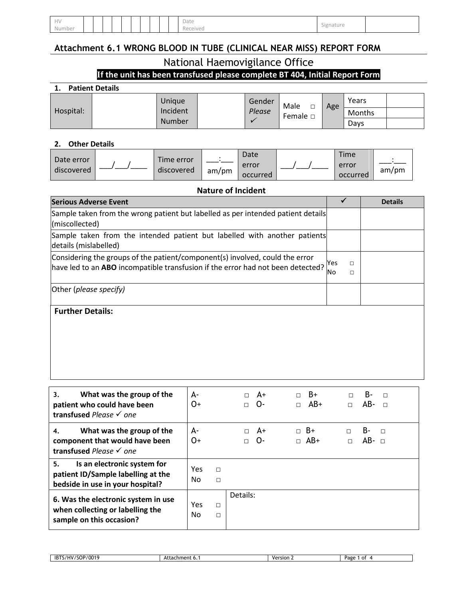| HV     |  |  |  |  |  | Date               | Signatur |  |
|--------|--|--|--|--|--|--------------------|----------|--|
| Number |  |  |  |  |  | $\sim$<br>Received |          |  |

# **Attachment 6.1 WRONG BLOOD IN TUBE (CLINICAL NEAR MISS) REPORT FORM**

### National Haemovigilance Office

# **If the unit has been transfused please complete BT 404, Initial Report Form**

| 1. | <b>Patient Details</b> |
|----|------------------------|
|    |                        |

| <b>Patient Details</b> |  |          |  |        |                |     |        |  |  |
|------------------------|--|----------|--|--------|----------------|-----|--------|--|--|
|                        |  | Unique   |  | Gender | Male<br>$\Box$ | Age | Years  |  |  |
| Hospital:              |  | Incident |  | Please | Female $\Box$  |     | Months |  |  |
|                        |  | Number   |  |        |                |     | Davs   |  |  |

### **2. Other Details**

|                            | Time error |       | Date     | <b>Time</b> |       |
|----------------------------|------------|-------|----------|-------------|-------|
| Date error<br>l discovered | discovered |       | error    | error       | am/pm |
|                            |            | am/pm | occurred | occurred    |       |

### **Nature of Incident**

| <b>Serious Adverse Event</b>                                                                                                                                    |           |             | <b>Details</b> |
|-----------------------------------------------------------------------------------------------------------------------------------------------------------------|-----------|-------------|----------------|
| Sample taken from the wrong patient but labelled as per intended patient details<br>(miscollected)                                                              |           |             |                |
| Sample taken from the intended patient but labelled with another patients<br>details (mislabelled)                                                              |           |             |                |
| Considering the groups of the patient/component(s) involved, could the error<br>have led to an ABO incompatible transfusion if the error had not been detected? | Yes<br>No | $\Box$<br>П |                |
| Other (please specify)                                                                                                                                          |           |             |                |
| <b>Further Details:</b>                                                                                                                                         |           |             |                |

| What was the group of the<br>3.<br>patient who could have been<br>transfused Please $\checkmark$ one        | А-<br>O+          |                  | $\Box$ A+<br>$\Box$ | - O- | $\Box$<br>$\Box$ | B+<br>AB+               | $\Box$<br>$\Box$ | B-<br>$AB -$      | $\Box$<br>$\Box$ |  |
|-------------------------------------------------------------------------------------------------------------|-------------------|------------------|---------------------|------|------------------|-------------------------|------------------|-------------------|------------------|--|
| What was the group of the<br>4.<br>component that would have been<br>transfused Please $\checkmark$ one     | А-<br>O+          |                  | $\Box$ A+<br>$\Box$ | $O-$ |                  | $\Box$ B+<br>$\Box$ AB+ | $\Box$<br>$\Box$ | B-<br>$AB - \Box$ | $\Box$           |  |
| 5.<br>Is an electronic system for<br>patient ID/Sample labelling at the<br>bedside in use in your hospital? | <b>Yes</b><br>No. | $\Box$<br>$\Box$ |                     |      |                  |                         |                  |                   |                  |  |
| 6. Was the electronic system in use<br>when collecting or labelling the<br>sample on this occasion?         | Yes<br>No.        | П<br>$\Box$      | Details:            |      |                  |                         |                  |                   |                  |  |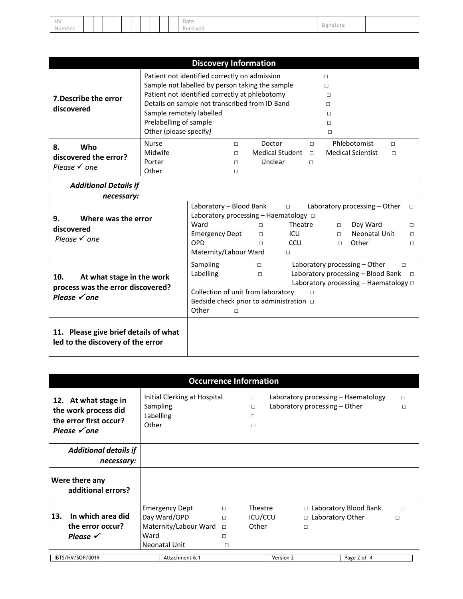| HV     |  |  |  |  |  | Date     | Signature |  |
|--------|--|--|--|--|--|----------|-----------|--|
| Number |  |  |  |  |  | Received |           |  |

|                                                                                      |                                                                              | <b>Discovery Information</b>                                                                                                                                                                                                                                                             |                                             |                                           |                            |                                                     |                                                                            |                  |                                 |
|--------------------------------------------------------------------------------------|------------------------------------------------------------------------------|------------------------------------------------------------------------------------------------------------------------------------------------------------------------------------------------------------------------------------------------------------------------------------------|---------------------------------------------|-------------------------------------------|----------------------------|-----------------------------------------------------|----------------------------------------------------------------------------|------------------|---------------------------------|
| 7. Describe the error<br>discovered                                                  | Sample remotely labelled<br>Prelabelling of sample<br>Other (please specify) | Patient not identified correctly on admission<br>Sample not labelled by person taking the sample<br>Patient not identified correctly at phlebotomy<br>Details on sample not transcribed from ID Band                                                                                     |                                             |                                           |                            | П<br>$\Box$<br>$\Box$<br>$\Box$<br>п<br>П<br>$\Box$ |                                                                            |                  |                                 |
| Who<br>8.<br>discovered the error?<br>Please $\checkmark$ one                        | <b>Nurse</b><br>Midwife<br>Porter<br>Other                                   | $\Box$<br>$\Box$<br>$\Box$<br>П                                                                                                                                                                                                                                                          | Doctor<br><b>Medical Student</b><br>Unclear |                                           | $\Box$<br>$\Box$<br>$\Box$ |                                                     | Phlebotomist<br><b>Medical Scientist</b>                                   | $\Box$<br>$\Box$ |                                 |
| <b>Additional Details if</b><br>necessary:                                           |                                                                              |                                                                                                                                                                                                                                                                                          |                                             |                                           |                            |                                                     |                                                                            |                  |                                 |
| Where was the error<br>9.<br>discovered<br>Please $\checkmark$ one                   |                                                                              | Laboratory - Blood Bank<br>Laboratory processing $-$ Haematology $\Box$<br>Ward<br><b>Emergency Dept</b><br>OPD<br>Maternity/Labour Ward                                                                                                                                                 | $\Box$<br>$\Box$<br>$\Box$                  | $\Box$<br>Theatre<br>ICU<br>CCU<br>$\Box$ |                            | $\Box$<br>П.<br>$\Box$                              | Laboratory processing - Other<br>Day Ward<br><b>Neonatal Unit</b><br>Other |                  | $\Box$<br>П<br>$\Box$<br>$\Box$ |
| At what stage in the work<br>10.<br>process was the error discovered?<br>Please √one |                                                                              | Sampling<br>Laboratory processing - Other<br>$\Box$<br>$\Box$<br>Laboratory processing - Blood Bank<br>Labelling<br>$\Box$<br>Laboratory processing $-$ Haematology $\Box$<br>Collection of unit from laboratory<br>П<br>Bedside check prior to administration $\Box$<br>Other<br>$\Box$ |                                             |                                           |                            |                                                     |                                                                            | $\Box$           |                                 |
| 11. Please give brief details of what<br>led to the discovery of the error           |                                                                              |                                                                                                                                                                                                                                                                                          |                                             |                                           |                            |                                                     |                                                                            |                  |                                 |

|                                                                                                   |                                | <b>Occurrence Information</b>                                                   |                                           |                                 |           |                               |                                     |             |
|---------------------------------------------------------------------------------------------------|--------------------------------|---------------------------------------------------------------------------------|-------------------------------------------|---------------------------------|-----------|-------------------------------|-------------------------------------|-------------|
| 12. At what stage in<br>the work process did<br>the error first occur?<br>Please $\checkmark$ one | Sampling<br>Labelling<br>Other | Initial Clerking at Hospital                                                    |                                           | $\Box$<br>$\Box$<br>п<br>$\Box$ |           | Laboratory processing – Other | Laboratory processing - Haematology | $\Box$<br>П |
| <b>Additional details if</b><br>necessary:                                                        |                                |                                                                                 |                                           |                                 |           |                               |                                     |             |
| Were there any<br>additional errors?                                                              |                                |                                                                                 |                                           |                                 |           |                               |                                     |             |
| In which area did<br>13.<br>the error occur?<br>Please $\checkmark$                               | Ward                           | <b>Emergency Dept</b><br>Day Ward/OPD<br>Maternity/Labour Ward<br>Neonatal Unit | $\Box$<br>$\Box$<br>$\Box$<br>п<br>$\Box$ | Theatre<br>ICU/CCU<br>Other     |           | □ Laboratory Other<br>$\Box$  | $\Box$ Laboratory Blood Bank        | $\Box$<br>П |
| IBTS/HV/SOP/0019                                                                                  |                                | Attachment 6.1                                                                  |                                           |                                 | Version 2 |                               | Page 2 of 4                         |             |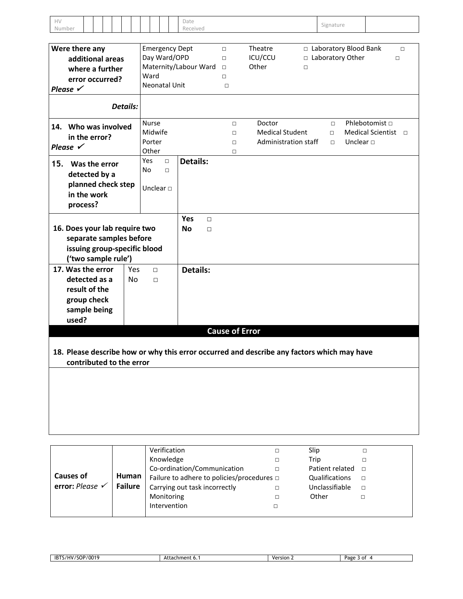| HV     |                     |                               |                 |           |                       |  |               | Date                  |        |        |        |                                                                                            |        |           |                         |                          |
|--------|---------------------|-------------------------------|-----------------|-----------|-----------------------|--|---------------|-----------------------|--------|--------|--------|--------------------------------------------------------------------------------------------|--------|-----------|-------------------------|--------------------------|
| Number |                     |                               |                 |           |                       |  |               | Received              |        |        |        |                                                                                            |        | Signature |                         |                          |
|        |                     |                               |                 |           |                       |  |               |                       |        |        |        |                                                                                            |        |           |                         |                          |
|        |                     | Were there any                |                 |           |                       |  |               | <b>Emergency Dept</b> |        | $\Box$ |        | Theatre                                                                                    |        |           | □ Laboratory Blood Bank | $\Box$                   |
|        |                     | additional areas              |                 |           |                       |  |               | Day Ward/OPD          |        | $\Box$ |        | ICU/CCU                                                                                    |        |           | □ Laboratory Other      | $\Box$                   |
|        |                     | where a further               |                 |           | Maternity/Labour Ward |  |               |                       |        | $\Box$ |        | Other                                                                                      | $\Box$ |           |                         |                          |
|        |                     | error occurred?               |                 |           | Ward                  |  |               |                       |        | $\Box$ |        |                                                                                            |        |           |                         |                          |
|        | Please $\checkmark$ |                               |                 |           |                       |  | Neonatal Unit |                       |        | $\Box$ |        |                                                                                            |        |           |                         |                          |
|        |                     |                               |                 |           |                       |  |               |                       |        |        |        |                                                                                            |        |           |                         |                          |
|        |                     |                               | <b>Details:</b> |           |                       |  |               |                       |        |        |        |                                                                                            |        |           |                         |                          |
|        |                     | 14. Who was involved          |                 |           | <b>Nurse</b>          |  |               |                       |        |        | $\Box$ | Doctor                                                                                     |        | $\Box$    | Phlebotomist □          |                          |
|        |                     |                               |                 |           | Midwife               |  |               |                       |        |        | $\Box$ | <b>Medical Student</b>                                                                     |        | $\Box$    |                         | Medical Scientist $\Box$ |
|        |                     | in the error?                 |                 |           | Porter                |  |               |                       |        |        | $\Box$ | Administration staff                                                                       |        | $\Box$    | Unclear $\Box$          |                          |
|        | Please $\checkmark$ |                               |                 |           | Other                 |  |               |                       |        |        | $\Box$ |                                                                                            |        |           |                         |                          |
| 15.    |                     | Was the error                 |                 |           | Yes                   |  | $\Box$        | <b>Details:</b>       |        |        |        |                                                                                            |        |           |                         |                          |
|        |                     |                               |                 | No        |                       |  | $\Box$        |                       |        |        |        |                                                                                            |        |           |                         |                          |
|        |                     | detected by a                 |                 |           |                       |  |               |                       |        |        |        |                                                                                            |        |           |                         |                          |
|        |                     | planned check step            |                 |           | Unclear $\square$     |  |               |                       |        |        |        |                                                                                            |        |           |                         |                          |
|        |                     | in the work                   |                 |           |                       |  |               |                       |        |        |        |                                                                                            |        |           |                         |                          |
|        |                     | process?                      |                 |           |                       |  |               |                       |        |        |        |                                                                                            |        |           |                         |                          |
|        |                     |                               |                 |           |                       |  |               | Yes                   | $\Box$ |        |        |                                                                                            |        |           |                         |                          |
|        |                     | 16. Does your lab require two |                 |           |                       |  |               | <b>No</b>             | $\Box$ |        |        |                                                                                            |        |           |                         |                          |
|        |                     | separate samples before       |                 |           |                       |  |               |                       |        |        |        |                                                                                            |        |           |                         |                          |
|        |                     |                               |                 |           |                       |  |               |                       |        |        |        |                                                                                            |        |           |                         |                          |
|        |                     | issuing group-specific blood  |                 |           |                       |  |               |                       |        |        |        |                                                                                            |        |           |                         |                          |
|        |                     | ('two sample rule')           |                 |           |                       |  |               |                       |        |        |        |                                                                                            |        |           |                         |                          |
|        |                     | 17. Was the error             |                 | Yes       | $\Box$                |  |               | <b>Details:</b>       |        |        |        |                                                                                            |        |           |                         |                          |
|        |                     | detected as a                 |                 | <b>No</b> | $\Box$                |  |               |                       |        |        |        |                                                                                            |        |           |                         |                          |
|        |                     | result of the                 |                 |           |                       |  |               |                       |        |        |        |                                                                                            |        |           |                         |                          |
|        |                     | group check                   |                 |           |                       |  |               |                       |        |        |        |                                                                                            |        |           |                         |                          |
|        |                     | sample being                  |                 |           |                       |  |               |                       |        |        |        |                                                                                            |        |           |                         |                          |
|        | used?               |                               |                 |           |                       |  |               |                       |        |        |        |                                                                                            |        |           |                         |                          |
|        |                     |                               |                 |           |                       |  |               |                       |        |        |        | <b>Cause of Error</b>                                                                      |        |           |                         |                          |
|        |                     |                               |                 |           |                       |  |               |                       |        |        |        |                                                                                            |        |           |                         |                          |
|        |                     |                               |                 |           |                       |  |               |                       |        |        |        |                                                                                            |        |           |                         |                          |
|        |                     | contributed to the error      |                 |           |                       |  |               |                       |        |        |        | 18. Please describe how or why this error occurred and describe any factors which may have |        |           |                         |                          |
|        |                     |                               |                 |           |                       |  |               |                       |        |        |        |                                                                                            |        |           |                         |                          |
|        |                     |                               |                 |           |                       |  |               |                       |        |        |        |                                                                                            |        |           |                         |                          |
|        |                     |                               |                 |           |                       |  |               |                       |        |        |        |                                                                                            |        |           |                         |                          |
|        |                     |                               |                 |           |                       |  |               |                       |        |        |        |                                                                                            |        |           |                         |                          |
|        |                     |                               |                 |           |                       |  |               |                       |        |        |        |                                                                                            |        |           |                         |                          |
|        |                     |                               |                 |           |                       |  |               |                       |        |        |        |                                                                                            |        |           |                         |                          |
|        |                     |                               |                 |           |                       |  |               |                       |        |        |        |                                                                                            |        |           |                         |                          |
|        |                     |                               |                 |           |                       |  |               |                       |        |        |        |                                                                                            |        |           |                         |                          |
|        |                     |                               |                 |           |                       |  |               |                       |        |        |        |                                                                                            |        |           |                         |                          |
|        |                     |                               |                 |           |                       |  | Verification  |                       |        |        |        | $\Box$                                                                                     | Slip   |           | $\Box$                  |                          |
|        |                     |                               |                 |           |                       |  | Knowledge     |                       |        |        |        | $\Box$                                                                                     | Trip   |           | $\Box$                  |                          |

|                            |         | Verification                                    | п | Slip            |        |
|----------------------------|---------|-------------------------------------------------|---|-----------------|--------|
|                            |         | Knowledge                                       | □ | Trip            |        |
|                            |         | Co-ordination/Communication                     |   | Patient related | $\Box$ |
| <b>Causes of</b>           | Human   | Failure to adhere to policies/procedures $\Box$ |   | Qualifications  | П      |
| error: Please $\checkmark$ | Failure | Carrying out task incorrectly                   |   | Unclassifiable  | □      |
|                            |         | Monitoring                                      |   | Other           |        |
|                            |         | Intervention                                    |   |                 |        |
|                            |         |                                                 |   |                 |        |

| $\sim$<br>ID".<br>$\bf{v}$<br>w | Δ1.<br>™rnment o… | Version<br>. | Page<br>≀ of |
|---------------------------------|-------------------|--------------|--------------|
|                                 |                   |              |              |